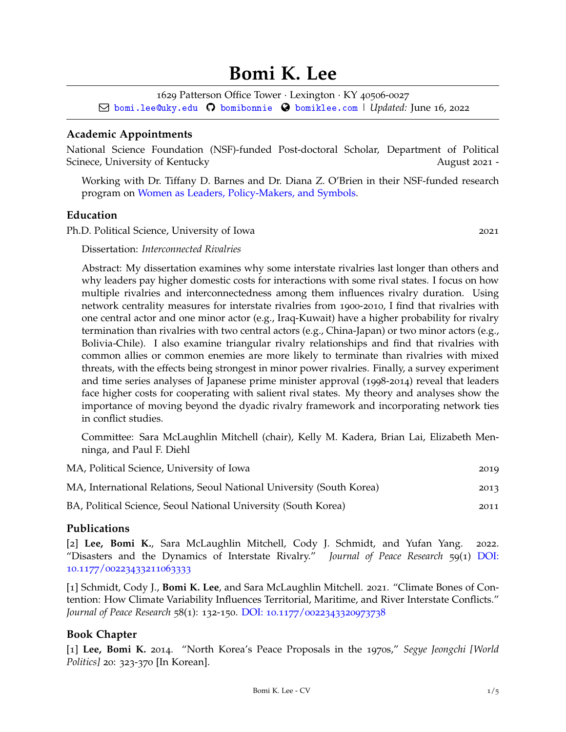# **Bomi K. Lee**

1629 Patterson Office Tower · Lexington · KY 40506-0027

Q [bomi.lee@uky.edu](mailto:) [bomibonnie](http://github.com/bomibonnie) [bomiklee.com](http://bomiklee.com) | *Updated:* June 16, 2022

# **Academic Appointments**

National Science Foundation (NSF)-funded Post-doctoral Scholar, Department of Political Scinece, University of Kentucky August 2021 - August 2021 -

Working with Dr. Tiffany D. Barnes and Dr. Diana Z. O'Brien in their NSF-funded research program on [Women as Leaders, Policy-Makers, and Symbols.](https://tiffanydbarnes.weebly.com/research.html)

#### **Education**

Ph.D. Political Science, University of Iowa 2021

Dissertation: *Interconnected Rivalries*

Abstract: My dissertation examines why some interstate rivalries last longer than others and why leaders pay higher domestic costs for interactions with some rival states. I focus on how multiple rivalries and interconnectedness among them influences rivalry duration. Using network centrality measures for interstate rivalries from 1900-2010, I find that rivalries with one central actor and one minor actor (e.g., Iraq-Kuwait) have a higher probability for rivalry termination than rivalries with two central actors (e.g., China-Japan) or two minor actors (e.g., Bolivia-Chile). I also examine triangular rivalry relationships and find that rivalries with common allies or common enemies are more likely to terminate than rivalries with mixed threats, with the effects being strongest in minor power rivalries. Finally, a survey experiment and time series analyses of Japanese prime minister approval (1998-2014) reveal that leaders face higher costs for cooperating with salient rival states. My theory and analyses show the importance of moving beyond the dyadic rivalry framework and incorporating network ties in conflict studies.

Committee: Sara McLaughlin Mitchell (chair), Kelly M. Kadera, Brian Lai, Elizabeth Menninga, and Paul F. Diehl

| MA, Political Science, University of Iowa                            | 2019 |
|----------------------------------------------------------------------|------|
| MA, International Relations, Seoul National University (South Korea) | 2013 |
| BA, Political Science, Seoul National University (South Korea)       | 2011 |

## **Publications**

[2] **Lee, Bomi K.**, Sara McLaughlin Mitchell, Cody J. Schmidt, and Yufan Yang. 2022. "Disasters and the Dynamics of Interstate Rivalry." *Journal of Peace Research* 59(1) [DOI:](https://doi.org/10.1177/00223433211063333) 10.1177/[00223433211063333](https://doi.org/10.1177/00223433211063333)

[1] Schmidt, Cody J., **Bomi K. Lee**, and Sara McLaughlin Mitchell. 2021. "Climate Bones of Contention: How Climate Variability Influences Territorial, Maritime, and River Interstate Conflicts." *Journal of Peace Research* 58(1): 132-150. DOI: 10.1177/[0022343320973738](https://journals.sagepub.com/doi/10.1177/0022343320973738)

# **Book Chapter**

[1] **Lee, Bomi K.** 2014. "North Korea's Peace Proposals in the 1970s," *Segye Jeongchi [World Politics]* 20: 323-370 [In Korean].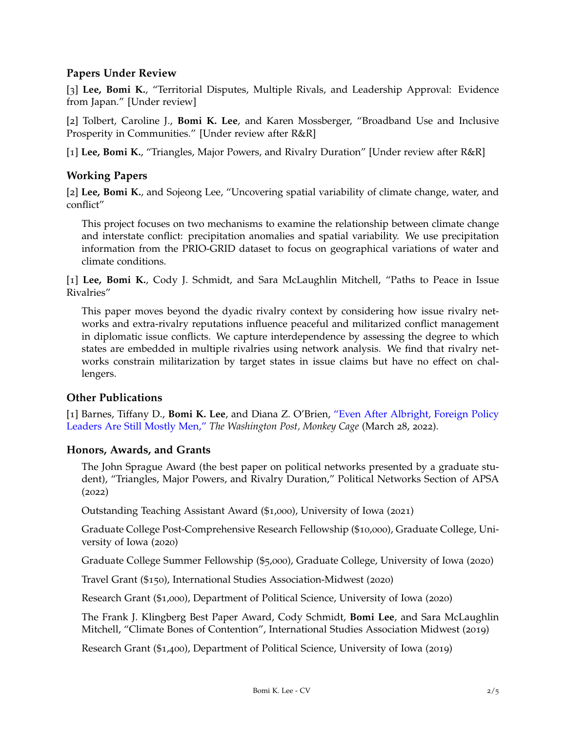## **Papers Under Review**

[3] **Lee, Bomi K.**, "Territorial Disputes, Multiple Rivals, and Leadership Approval: Evidence from Japan." [Under review]

[2] Tolbert, Caroline J., **Bomi K. Lee**, and Karen Mossberger, "Broadband Use and Inclusive Prosperity in Communities." [Under review after R&R]

[1] **Lee, Bomi K.**, "Triangles, Major Powers, and Rivalry Duration" [Under review after R&R]

# **Working Papers**

[2] **Lee, Bomi K.**, and Sojeong Lee, "Uncovering spatial variability of climate change, water, and conflict"

This project focuses on two mechanisms to examine the relationship between climate change and interstate conflict: precipitation anomalies and spatial variability. We use precipitation information from the PRIO-GRID dataset to focus on geographical variations of water and climate conditions.

[1] **Lee, Bomi K.**, Cody J. Schmidt, and Sara McLaughlin Mitchell, "Paths to Peace in Issue Rivalries"

This paper moves beyond the dyadic rivalry context by considering how issue rivalry networks and extra-rivalry reputations influence peaceful and militarized conflict management in diplomatic issue conflicts. We capture interdependence by assessing the degree to which states are embedded in multiple rivalries using network analysis. We find that rivalry networks constrain militarization by target states in issue claims but have no effect on challengers.

## **Other Publications**

[1] Barnes, Tiffany D., **Bomi K. Lee**, and Diana Z. O'Brien, ["Even After Albright, Foreign Policy](https://www.washingtonpost.com/politics/2022/03/28/madeleine-albright-remembered/) [Leaders Are Still Mostly Men,"](https://www.washingtonpost.com/politics/2022/03/28/madeleine-albright-remembered/) *The Washington Post, Monkey Cage* (March 28, 2022).

## **Honors, Awards, and Grants**

The John Sprague Award (the best paper on political networks presented by a graduate student), "Triangles, Major Powers, and Rivalry Duration," Political Networks Section of APSA (2022)

Outstanding Teaching Assistant Award (\$1,000), University of Iowa (2021)

Graduate College Post-Comprehensive Research Fellowship (\$10,000), Graduate College, University of Iowa (2020)

Graduate College Summer Fellowship (\$5,000), Graduate College, University of Iowa (2020)

Travel Grant (\$150), International Studies Association-Midwest (2020)

Research Grant (\$1,000), Department of Political Science, University of Iowa (2020)

The Frank J. Klingberg Best Paper Award, Cody Schmidt, **Bomi Lee**, and Sara McLaughlin Mitchell, "Climate Bones of Contention", International Studies Association Midwest (2019)

Research Grant (\$1,400), Department of Political Science, University of Iowa (2019)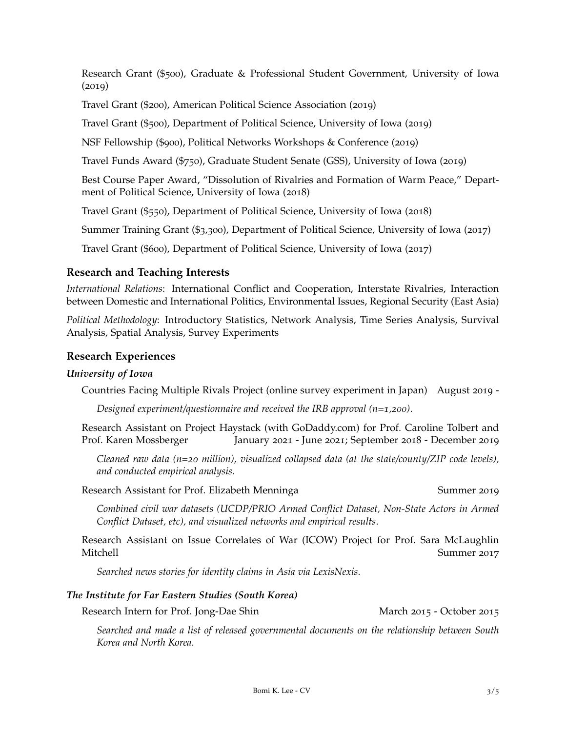Research Grant (\$500), Graduate & Professional Student Government, University of Iowa (2019)

Travel Grant (\$200), American Political Science Association (2019)

Travel Grant (\$500), Department of Political Science, University of Iowa (2019)

NSF Fellowship (\$900), Political Networks Workshops & Conference (2019)

Travel Funds Award (\$750), Graduate Student Senate (GSS), University of Iowa (2019)

Best Course Paper Award, "Dissolution of Rivalries and Formation of Warm Peace," Department of Political Science, University of Iowa (2018)

Travel Grant (\$550), Department of Political Science, University of Iowa (2018)

Summer Training Grant (\$3,300), Department of Political Science, University of Iowa (2017)

Travel Grant (\$600), Department of Political Science, University of Iowa (2017)

#### **Research and Teaching Interests**

*International Relations*: International Conflict and Cooperation, Interstate Rivalries, Interaction between Domestic and International Politics, Environmental Issues, Regional Security (East Asia)

*Political Methodology*: Introductory Statistics, Network Analysis, Time Series Analysis, Survival Analysis, Spatial Analysis, Survey Experiments

#### **Research Experiences**

#### *University of Iowa*

Countries Facing Multiple Rivals Project (online survey experiment in Japan) August 2019 -

*Designed experiment/questionnaire and received the IRB approval (n=1,200)*.

Research Assistant on Project Haystack (with GoDaddy.com) for Prof. Caroline Tolbert and Prof. Karen Mossberger January 2021 - June 2021; September 2018 - December 2019

*Cleaned raw data (n=20 million), visualized collapsed data (at the state/county/ZIP code levels), and conducted empirical analysis*.

Research Assistant for Prof. Elizabeth Menninga Summer 2019

*Combined civil war datasets (UCDP/PRIO Armed Conflict Dataset, Non-State Actors in Armed Conflict Dataset, etc), and visualized networks and empirical results*.

Research Assistant on Issue Correlates of War (ICOW) Project for Prof. Sara McLaughlin Mitchell Summer 2017

*Searched news stories for identity claims in Asia via LexisNexis*.

#### *The Institute for Far Eastern Studies (South Korea)*

Research Intern for Prof. Jong-Dae Shin March 2015 - October 2015

*Searched and made a list of released governmental documents on the relationship between South Korea and North Korea*.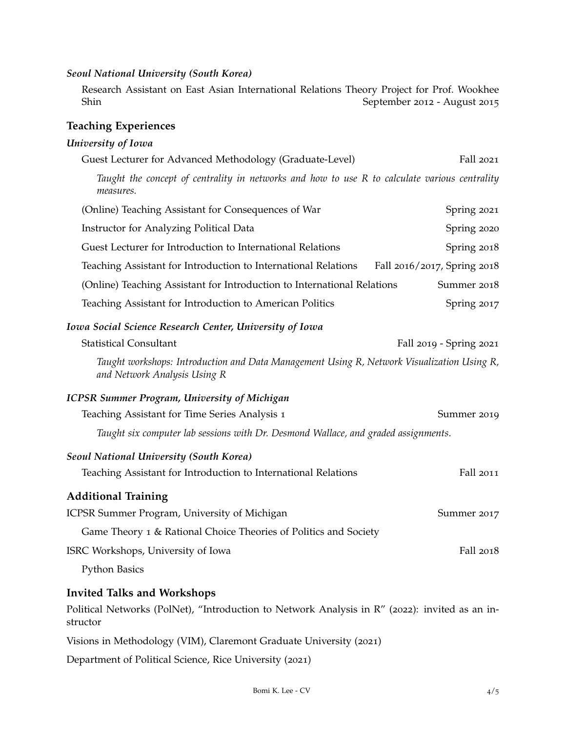#### *Seoul National University (South Korea)*

Research Assistant on East Asian International Relations Theory Project for Prof. Wookhee September 2012 - August 2015

# **Teaching Experiences**

## *University of Iowa*

| Guest Lecturer for Advanced Methodology (Graduate-Level)                                                                   | Fall 2021                   |
|----------------------------------------------------------------------------------------------------------------------------|-----------------------------|
| Taught the concept of centrality in networks and how to use R to calculate various centrality<br>measures.                 |                             |
| (Online) Teaching Assistant for Consequences of War                                                                        | Spring 2021                 |
| Instructor for Analyzing Political Data                                                                                    | Spring 2020                 |
| Guest Lecturer for Introduction to International Relations                                                                 | Spring 2018                 |
| Teaching Assistant for Introduction to International Relations                                                             | Fall 2016/2017, Spring 2018 |
| (Online) Teaching Assistant for Introduction to International Relations                                                    | Summer 2018                 |
| Teaching Assistant for Introduction to American Politics                                                                   | Spring 2017                 |
| Iowa Social Science Research Center, University of Iowa                                                                    |                             |
| <b>Statistical Consultant</b>                                                                                              | Fall 2019 - Spring 2021     |
| Taught workshops: Introduction and Data Management Using R, Network Visualization Using R,<br>and Network Analysis Using R |                             |
| <b>ICPSR Summer Program, University of Michigan</b>                                                                        |                             |
| Teaching Assistant for Time Series Analysis 1                                                                              | Summer 2019                 |
| Taught six computer lab sessions with Dr. Desmond Wallace, and graded assignments.                                         |                             |
| <b>Seoul National University (South Korea)</b>                                                                             |                             |
| Teaching Assistant for Introduction to International Relations                                                             | Fall 2011                   |
| <b>Additional Training</b>                                                                                                 |                             |
| ICPSR Summer Program, University of Michigan                                                                               | Summer 2017                 |
| Game Theory 1 & Rational Choice Theories of Politics and Society                                                           |                             |
| ISRC Workshops, University of Iowa                                                                                         | Fall 2018                   |
| <b>Python Basics</b>                                                                                                       |                             |
| <b>Invited Talks and Workshops</b>                                                                                         |                             |
| Political Networks (PolNet), "Introduction to Network Analysis in R" (2022): invited as an in-<br>structor                 |                             |

Visions in Methodology (VIM), Claremont Graduate University (2021)

Department of Political Science, Rice University (2021)